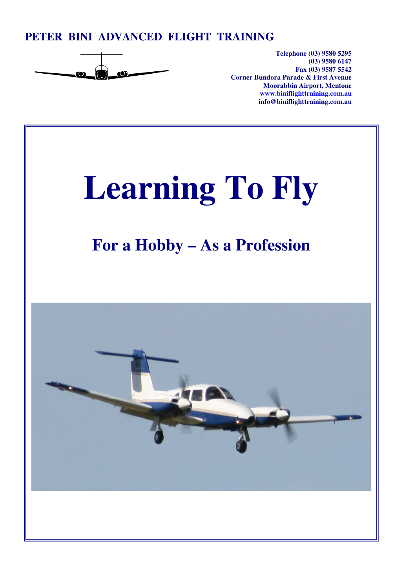### **PETER BINI ADVANCED FLIGHT TRAINING**



**Telephone (03) 9580 5295 (03) 9580 6147 Fax (03) 9587 5542 Corner Bundora Parade & First Avenue Moorabbin Airport, Mentone www.biniflighttraining.com.au info@biniflighttraining.com.au** 

# **Learning To Fly**

## **For a Hobby – As a Profession**

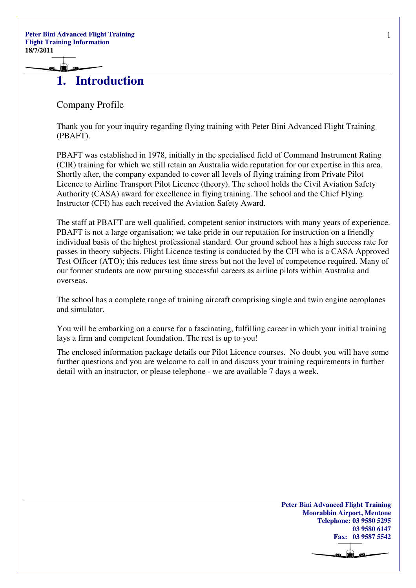### **1. Introduction**

Company Profile

Thank you for your inquiry regarding flying training with Peter Bini Advanced Flight Training (PBAFT).

PBAFT was established in 1978, initially in the specialised field of Command Instrument Rating (CIR) training for which we still retain an Australia wide reputation for our expertise in this area. Shortly after, the company expanded to cover all levels of flying training from Private Pilot Licence to Airline Transport Pilot Licence (theory). The school holds the Civil Aviation Safety Authority (CASA) award for excellence in flying training. The school and the Chief Flying Instructor (CFI) has each received the Aviation Safety Award.

The staff at PBAFT are well qualified, competent senior instructors with many years of experience. PBAFT is not a large organisation; we take pride in our reputation for instruction on a friendly individual basis of the highest professional standard. Our ground school has a high success rate for passes in theory subjects. Flight Licence testing is conducted by the CFI who is a CASA Approved Test Officer (ATO); this reduces test time stress but not the level of competence required. Many of our former students are now pursuing successful careers as airline pilots within Australia and overseas.

The school has a complete range of training aircraft comprising single and twin engine aeroplanes and simulator.

You will be embarking on a course for a fascinating, fulfilling career in which your initial training lays a firm and competent foundation. The rest is up to you!

The enclosed information package details our Pilot Licence courses. No doubt you will have some further questions and you are welcome to call in and discuss your training requirements in further detail with an instructor, or please telephone - we are available 7 days a week.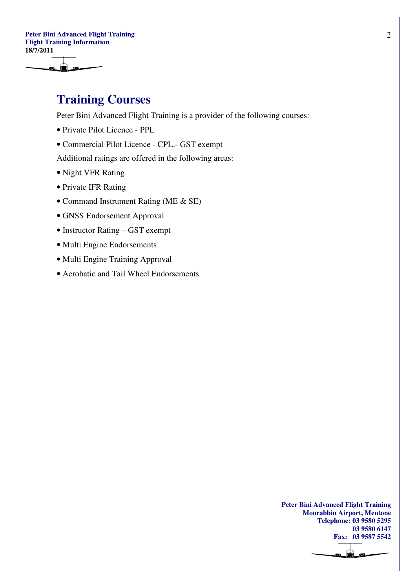۱Ò.

### **Training Courses**

Peter Bini Advanced Flight Training is a provider of the following courses:

- Private Pilot Licence PPL
- Commercial Pilot Licence CPL.- GST exempt

Additional ratings are offered in the following areas:

- Night VFR Rating
- Private IFR Rating
- Command Instrument Rating (ME & SE)
- GNSS Endorsement Approval
- Instructor Rating GST exempt
- Multi Engine Endorsements
- Multi Engine Training Approval
- Aerobatic and Tail Wheel Endorsements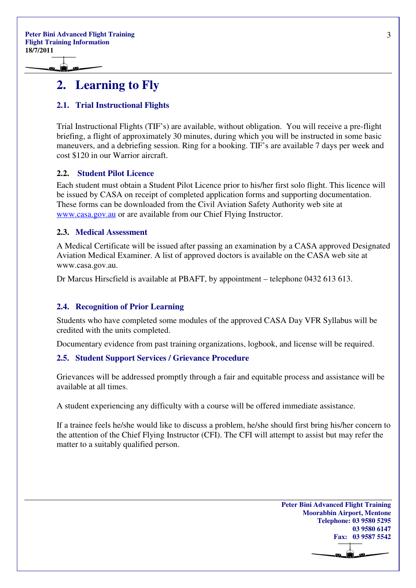Ó

### **2. Learning to Fly**

### **2.1. Trial Instructional Flights**

Trial Instructional Flights (TIF's) are available, without obligation. You will receive a pre-flight briefing, a flight of approximately 30 minutes, during which you will be instructed in some basic maneuvers, and a debriefing session. Ring for a booking. TIF's are available 7 days per week and cost \$120 in our Warrior aircraft.

### **2.2. Student Pilot Licence**

Each student must obtain a Student Pilot Licence prior to his/her first solo flight. This licence will be issued by CASA on receipt of completed application forms and supporting documentation. These forms can be downloaded from the Civil Aviation Safety Authority web site at www.casa.gov.au or are available from our Chief Flying Instructor.

#### **2.3. Medical Assessment**

A Medical Certificate will be issued after passing an examination by a CASA approved Designated Aviation Medical Examiner. A list of approved doctors is available on the CASA web site at www.casa.gov.au.

Dr Marcus Hirscfield is available at PBAFT, by appointment – telephone 0432 613 613.

#### **2.4. Recognition of Prior Learning**

Students who have completed some modules of the approved CASA Day VFR Syllabus will be credited with the units completed.

Documentary evidence from past training organizations, logbook, and license will be required.

#### **2.5. Student Support Services / Grievance Procedure**

Grievances will be addressed promptly through a fair and equitable process and assistance will be available at all times.

A student experiencing any difficulty with a course will be offered immediate assistance.

If a trainee feels he/she would like to discuss a problem, he/she should first bring his/her concern to the attention of the Chief Flying Instructor (CFI). The CFI will attempt to assist but may refer the matter to a suitably qualified person.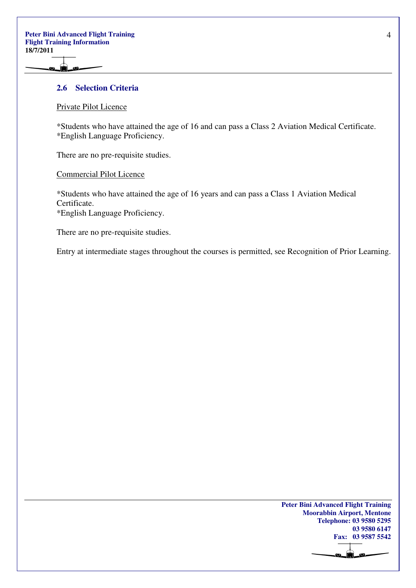í.

#### **2.6 Selection Criteria**

#### Private Pilot Licence

\*Students who have attained the age of 16 and can pass a Class 2 Aviation Medical Certificate. \*English Language Proficiency.

There are no pre-requisite studies.

Commercial Pilot Licence

\*Students who have attained the age of 16 years and can pass a Class 1 Aviation Medical Certificate.

\*English Language Proficiency.

There are no pre-requisite studies.

Entry at intermediate stages throughout the courses is permitted, see Recognition of Prior Learning.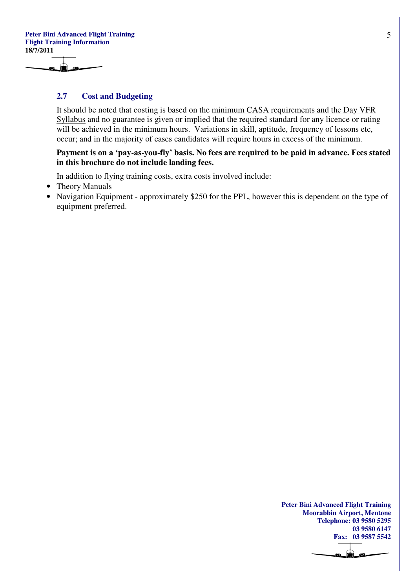۱Ò.

#### **2.7 Cost and Budgeting**

It should be noted that costing is based on the minimum CASA requirements and the Day VFR Syllabus and no guarantee is given or implied that the required standard for any licence or rating will be achieved in the minimum hours. Variations in skill, aptitude, frequency of lessons etc, occur; and in the majority of cases candidates will require hours in excess of the minimum.

#### **Payment is on a 'pay-as-you-fly' basis. No fees are required to be paid in advance. Fees stated in this brochure do not include landing fees.**

In addition to flying training costs, extra costs involved include:

- Theory Manuals
- Navigation Equipment approximately \$250 for the PPL, however this is dependent on the type of equipment preferred.

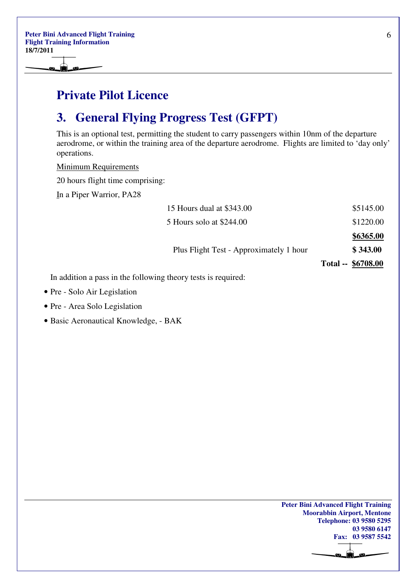### **Private Pilot Licence**

### **3. General Flying Progress Test (GFPT)**

This is an optional test, permitting the student to carry passengers within 10nm of the departure aerodrome, or within the training area of the departure aerodrome. Flights are limited to 'day only' operations.

Minimum Requirements

20 hours flight time comprising:

In a Piper Warrior, PA28

|                                                               | 15 Hours dual at \$343.00               | \$5145.00          |
|---------------------------------------------------------------|-----------------------------------------|--------------------|
|                                                               | 5 Hours solo at \$244.00                | \$1220.00          |
|                                                               |                                         | \$6365.00          |
|                                                               | Plus Flight Test - Approximately 1 hour | \$343.00           |
|                                                               |                                         | Total -- \$6708.00 |
| In addition a pass in the following theory tests is required: |                                         |                    |

- Pre Solo Air Legislation
- Pre Area Solo Legislation
- Basic Aeronautical Knowledge, BAK

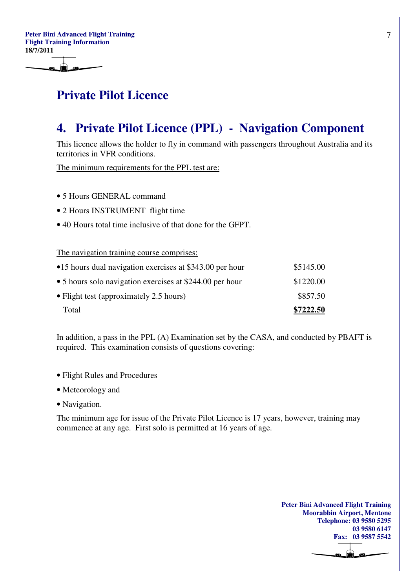### **Private Pilot Licence**

### **4. Private Pilot Licence (PPL) - Navigation Component**

This licence allows the holder to fly in command with passengers throughout Australia and its territories in VFR conditions.

The minimum requirements for the PPL test are:

- 5 Hours GENERAL command
- 2 Hours INSTRUMENT flight time
- 40 Hours total time inclusive of that done for the GFPT.

The navigation training course comprises:

| Total                                                    | \$7222.50 |
|----------------------------------------------------------|-----------|
| $\bullet$ Flight test (approximately 2.5 hours)          | \$857.50  |
| • 5 hours solo navigation exercises at \$244.00 per hour | \$1220.00 |
| •15 hours dual navigation exercises at \$343.00 per hour | \$5145.00 |

In addition, a pass in the PPL (A) Examination set by the CASA, and conducted by PBAFT is required. This examination consists of questions covering:

- Flight Rules and Procedures
- Meteorology and
- Navigation.

The minimum age for issue of the Private Pilot Licence is 17 years, however, training may commence at any age. First solo is permitted at 16 years of age.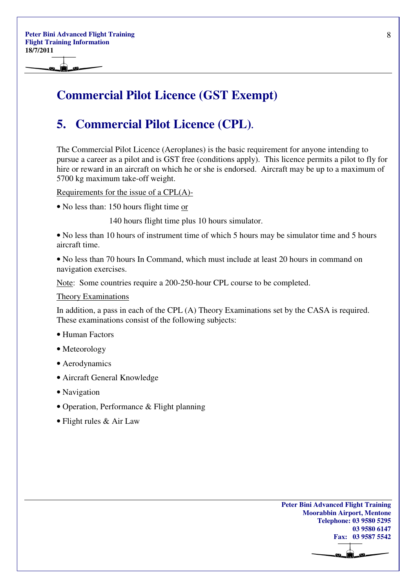### **Commercial Pilot Licence (GST Exempt)**

### **5. Commercial Pilot Licence (CPL).**

The Commercial Pilot Licence (Aeroplanes) is the basic requirement for anyone intending to pursue a career as a pilot and is GST free (conditions apply). This licence permits a pilot to fly for hire or reward in an aircraft on which he or she is endorsed. Aircraft may be up to a maximum of 5700 kg maximum take-off weight.

Requirements for the issue of a CPL(A)-

• No less than: 150 hours flight time or

140 hours flight time plus 10 hours simulator.

• No less than 10 hours of instrument time of which 5 hours may be simulator time and 5 hours aircraft time.

• No less than 70 hours In Command, which must include at least 20 hours in command on navigation exercises.

Note: Some countries require a 200-250-hour CPL course to be completed.

Theory Examinations

In addition, a pass in each of the CPL (A) Theory Examinations set by the CASA is required. These examinations consist of the following subjects:

- Human Factors
- Meteorology
- Aerodynamics
- Aircraft General Knowledge
- Navigation
- Operation, Performance & Flight planning
- Flight rules & Air Law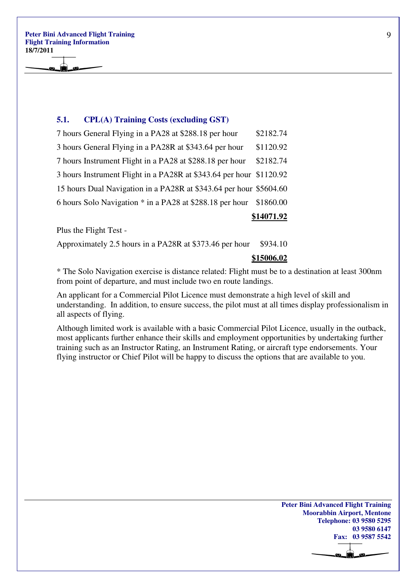**Peter Bini Advanced Flight Training Flight Training Information 18/7/2011** 

#### **5.1. CPL(A) Training Costs (excluding GST)**

|                                                                     | \$14071.92 |
|---------------------------------------------------------------------|------------|
| 6 hours Solo Navigation * in a PA28 at \$288.18 per hour            | \$1860.00  |
| 15 hours Dual Navigation in a PA28R at \$343.64 per hour \$5604.60  |            |
| 3 hours Instrument Flight in a PA28R at \$343.64 per hour \$1120.92 |            |
| 7 hours Instrument Flight in a PA28 at \$288.18 per hour            | \$2182.74  |
| 3 hours General Flying in a PA28R at \$343.64 per hour              | \$1120.92  |
| 7 hours General Flying in a PA28 at \$288.18 per hour               | \$2182.74  |

Plus the Flight Test -

Approximately 2.5 hours in a PA28R at  $$373.46$  per hour  $$934.10$ 

#### **\$15006.02**

\* The Solo Navigation exercise is distance related: Flight must be to a destination at least 300nm from point of departure, and must include two en route landings.

An applicant for a Commercial Pilot Licence must demonstrate a high level of skill and understanding. In addition, to ensure success, the pilot must at all times display professionalism in all aspects of flying.

Although limited work is available with a basic Commercial Pilot Licence, usually in the outback, most applicants further enhance their skills and employment opportunities by undertaking further training such as an Instructor Rating, an Instrument Rating, or aircraft type endorsements. Your flying instructor or Chief Pilot will be happy to discuss the options that are available to you.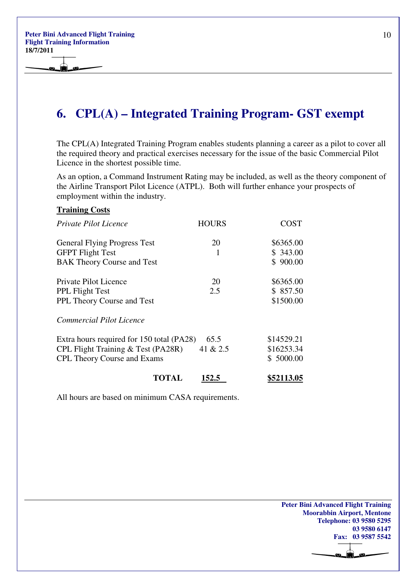**Peter Bini Advanced Flight Training Flight Training Information 18/7/2011** 

### **6. CPL(A) – Integrated Training Program- GST exempt**

The CPL(A) Integrated Training Program enables students planning a career as a pilot to cover all the required theory and practical exercises necessary for the issue of the basic Commercial Pilot Licence in the shortest possible time.

As an option, a Command Instrument Rating may be included, as well as the theory component of the Airline Transport Pilot Licence (ATPL). Both will further enhance your prospects of employment within the industry.

#### **Training Costs**

| <i>Private Pilot Licence</i>                                                                                          | <b>HOURS</b>     | COST                                  |
|-----------------------------------------------------------------------------------------------------------------------|------------------|---------------------------------------|
| <b>General Flying Progress Test</b><br><b>GFPT Flight Test</b><br><b>BAK Theory Course and Test</b>                   | 20<br>1          | \$6365.00<br>\$343.00<br>\$900.00     |
| Private Pilot Licence<br><b>PPL Flight Test</b><br>PPL Theory Course and Test                                         | 20<br>2.5        | \$6365.00<br>\$857.50<br>\$1500.00    |
| Commercial Pilot Licence                                                                                              |                  |                                       |
| Extra hours required for 150 total (PA28)<br>CPL Flight Training & Test (PA28R)<br><b>CPL Theory Course and Exams</b> | 65.5<br>41 & 2.5 | \$14529.21<br>\$16253.34<br>\$5000.00 |
| TOTAL                                                                                                                 | 152.5            | \$52113.05                            |

All hours are based on minimum CASA requirements.

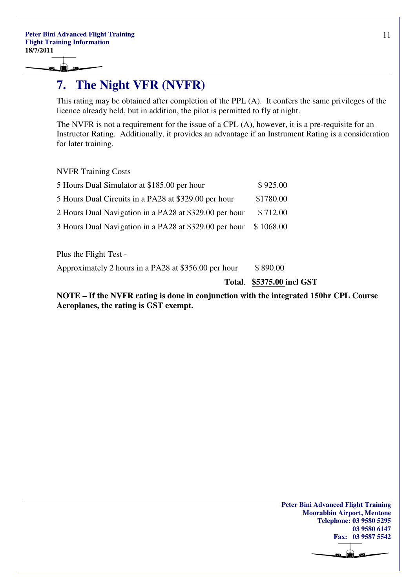Ô

### **7. The Night VFR (NVFR)**

This rating may be obtained after completion of the PPL (A). It confers the same privileges of the licence already held, but in addition, the pilot is permitted to fly at night.

The NVFR is not a requirement for the issue of a CPL (A), however, it is a pre-requisite for an Instructor Rating. Additionally, it provides an advantage if an Instrument Rating is a consideration for later training.

#### NVFR Training Costs

| 5 Hours Dual Simulator at \$185.00 per hour            | \$925.00  |
|--------------------------------------------------------|-----------|
| 5 Hours Dual Circuits in a PA28 at \$329.00 per hour   | \$1780.00 |
| 2 Hours Dual Navigation in a PA28 at \$329.00 per hour | \$712.00  |
| 3 Hours Dual Navigation in a PA28 at \$329.00 per hour | \$1068.00 |

Plus the Flight Test -

Approximately 2 hours in a PA28 at  $$356.00$  per hour  $$890.00$ 

 **Total**. **\$5375.00 incl GST**

**NOTE – If the NVFR rating is done in conjunction with the integrated 150hr CPL Course Aeroplanes, the rating is GST exempt.** 

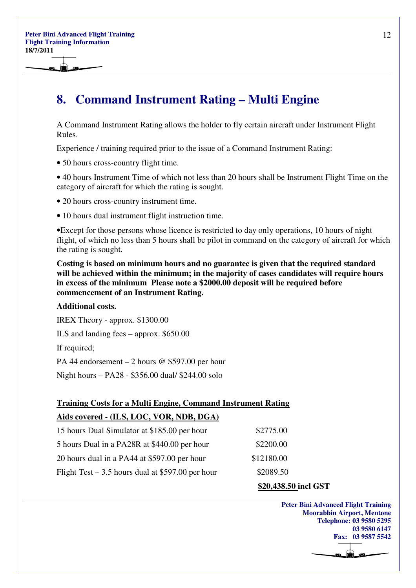۱Ò.

### **8. Command Instrument Rating – Multi Engine**

A Command Instrument Rating allows the holder to fly certain aircraft under Instrument Flight Rules.

Experience / training required prior to the issue of a Command Instrument Rating:

• 50 hours cross-country flight time.

• 40 hours Instrument Time of which not less than 20 hours shall be Instrument Flight Time on the category of aircraft for which the rating is sought.

• 20 hours cross-country instrument time.

• 10 hours dual instrument flight instruction time.

•Except for those persons whose licence is restricted to day only operations, 10 hours of night flight, of which no less than 5 hours shall be pilot in command on the category of aircraft for which the rating is sought.

**Costing is based on minimum hours and no guarantee is given that the required standard will be achieved within the minimum; in the majority of cases candidates will require hours in excess of the minimum Please note a \$2000.00 deposit will be required before commencement of an Instrument Rating.** 

#### **Additional costs.**

IREX Theory - approx. \$1300.00

ILS and landing fees – approx. \$650.00

If required;

PA 44 endorsement – 2 hours @ \$597.00 per hour

Night hours – PA28 - \$356.00 dual/ \$244.00 solo

### **Training Costs for a Multi Engine, Command Instrument Rating Aids covered - (ILS, LOC, VOR, NDB, DGA)**

| 15 hours Dual Simulator at \$185.00 per hour       | \$2775.00  |
|----------------------------------------------------|------------|
| 5 hours Dual in a PA28R at \$440.00 per hour       | \$2200.00  |
| 20 hours dual in a PA44 at \$597.00 per hour       | \$12180.00 |
| Flight Test $-3.5$ hours dual at \$597.00 per hour | \$2089.50  |
|                                                    |            |

#### **\$20,438.50 incl GST**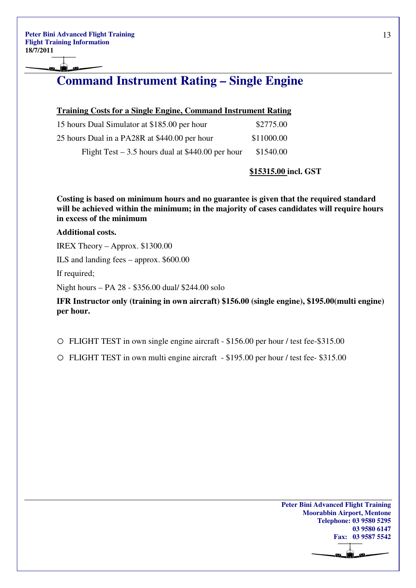### **Command Instrument Rating – Single Engine**

| 15 hours Dual Simulator at \$185.00 per hour       | \$2775.00  |
|----------------------------------------------------|------------|
| 25 hours Dual in a PA28R at \$440.00 per hour      | \$11000.00 |
| Flight Test $-3.5$ hours dual at \$440.00 per hour | \$1540.00  |

#### **\$15315.00 incl. GST**

**Costing is based on minimum hours and no guarantee is given that the required standard will be achieved within the minimum; in the majority of cases candidates will require hours in excess of the minimum** 

#### **Additional costs.**

IREX Theory – Approx. \$1300.00

ILS and landing fees – approx. \$600.00

If required;

Night hours – PA 28 - \$356.00 dual/ \$244.00 solo

**IFR Instructor only (training in own aircraft) \$156.00 (single engine), \$195.00(multi engine) per hour.** 

o FLIGHT TEST in own single engine aircraft - \$156.00 per hour / test fee-\$315.00

o FLIGHT TEST in own multi engine aircraft - \$195.00 per hour / test fee- \$315.00

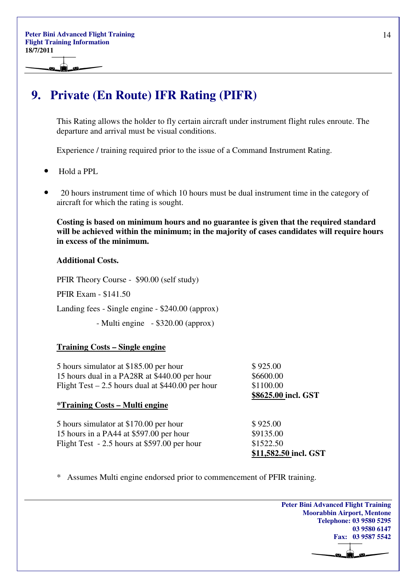### **9. Private (En Route) IFR Rating (PIFR)**

This Rating allows the holder to fly certain aircraft under instrument flight rules enroute. The departure and arrival must be visual conditions.

Experience / training required prior to the issue of a Command Instrument Rating.

- Hold a PPL
- 20 hours instrument time of which 10 hours must be dual instrument time in the category of aircraft for which the rating is sought.

**Costing is based on minimum hours and no guarantee is given that the required standard will be achieved within the minimum; in the majority of cases candidates will require hours in excess of the minimum.** 

#### **Additional Costs.**

PFIR Theory Course - \$90.00 (self study)

PFIR Exam - \$141.50

Landing fees - Single engine - \$240.00 (approx)

- Multi engine - \$320.00 (approx)

#### **Training Costs – Single engine**

| 5 hours simulator at \$185.00 per hour             | \$925.00              |
|----------------------------------------------------|-----------------------|
| 15 hours dual in a PA28R at \$440.00 per hour      | \$6600.00             |
| Flight Test – 2.5 hours dual at $$440.00$ per hour | \$1100.00             |
|                                                    | \$8625.00 incl. GST   |
| <i>*Training Costs – Multi engine</i>              |                       |
|                                                    |                       |
| 5 hours simulator at \$170.00 per hour             | \$925.00              |
| 15 hours in a PA44 at \$597.00 per hour            | \$9135.00             |
| Flight Test - 2.5 hours at \$597.00 per hour       | \$1522.50             |
|                                                    | \$11,582.50 incl. GST |

\* Assumes Multi engine endorsed prior to commencement of PFIR training.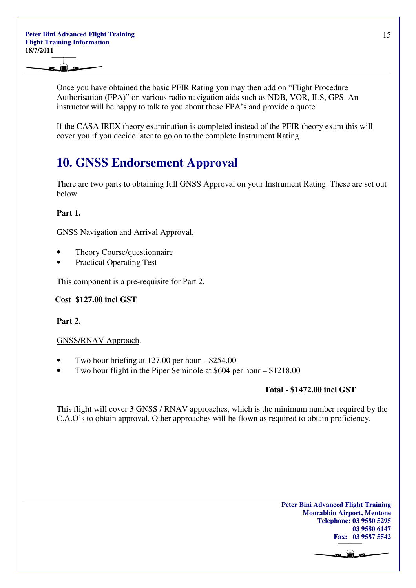Once you have obtained the basic PFIR Rating you may then add on "Flight Procedure Authorisation (FPA)" on various radio navigation aids such as NDB, VOR, ILS, GPS. An instructor will be happy to talk to you about these FPA's and provide a quote.

If the CASA IREX theory examination is completed instead of the PFIR theory exam this will cover you if you decide later to go on to the complete Instrument Rating.

### **10. GNSS Endorsement Approval**

There are two parts to obtaining full GNSS Approval on your Instrument Rating. These are set out below.

### **Part 1.**

GNSS Navigation and Arrival Approval.

- Theory Course/questionnaire
- Practical Operating Test

This component is a pre-requisite for Part 2.

 **Cost \$127.00 incl GST** 

**Part 2.** 

#### GNSS/RNAV Approach.

- Two hour briefing at  $127.00$  per hour  $-$  \$254.00
- Two hour flight in the Piper Seminole at \$604 per hour \$1218.00

#### **Total - \$1472.00 incl GST**

This flight will cover 3 GNSS / RNAV approaches, which is the minimum number required by the C.A.O's to obtain approval. Other approaches will be flown as required to obtain proficiency.

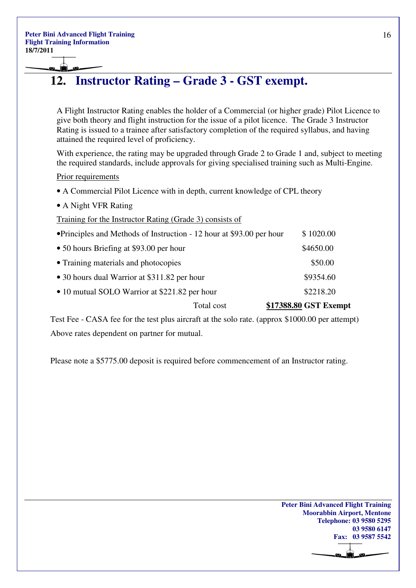### **12. Instructor Rating – Grade 3 - GST exempt.**

A Flight Instructor Rating enables the holder of a Commercial (or higher grade) Pilot Licence to give both theory and flight instruction for the issue of a pilot licence. The Grade 3 Instructor Rating is issued to a trainee after satisfactory completion of the required syllabus, and having attained the required level of proficiency.

With experience, the rating may be upgraded through Grade 2 to Grade 1 and, subject to meeting the required standards, include approvals for giving specialised training such as Multi-Engine.

Prior requirements

- A Commercial Pilot Licence with in depth, current knowledge of CPL theory
- A Night VFR Rating

Training for the Instructor Rating (Grade 3) consists of

|                                                                       | Total cost | \$17388.80 GST Exempt |
|-----------------------------------------------------------------------|------------|-----------------------|
| • 10 mutual SOLO Warrior at \$221.82 per hour                         |            | \$2218.20             |
| • 30 hours dual Warrior at \$311.82 per hour                          |            | \$9354.60             |
| • Training materials and photocopies                                  |            | \$50.00               |
| • 50 hours Briefing at \$93.00 per hour                               |            | \$4650.00             |
| • Principles and Methods of Instruction - 12 hour at \$93.00 per hour |            | \$1020.00             |

 Test Fee - CASA fee for the test plus aircraft at the solo rate. (approx \$1000.00 per attempt) Above rates dependent on partner for mutual.

Please note a \$5775.00 deposit is required before commencement of an Instructor rating.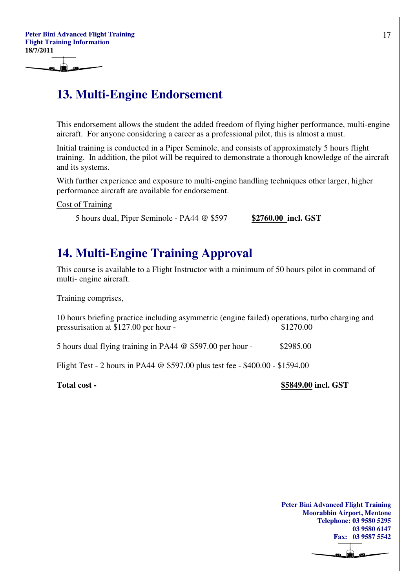### **13. Multi-Engine Endorsement**

This endorsement allows the student the added freedom of flying higher performance, multi-engine aircraft. For anyone considering a career as a professional pilot, this is almost a must.

Initial training is conducted in a Piper Seminole, and consists of approximately 5 hours flight training. In addition, the pilot will be required to demonstrate a thorough knowledge of the aircraft and its systems.

With further experience and exposure to multi-engine handling techniques other larger, higher performance aircraft are available for endorsement.

#### Cost of Training

5 hours dual, Piper Seminole - PA44 @ \$597 **\$2760.00 incl. GST**

### **14. Multi-Engine Training Approval**

This course is available to a Flight Instructor with a minimum of 50 hours pilot in command of multi- engine aircraft.

Training comprises,

10 hours briefing practice including asymmetric (engine failed) operations, turbo charging and pressurisation at \$127.00 per hour - \$1270.00

5 hours dual flying training in PA44  $\omega$  \$597.00 per hour - \$2985.00

Flight Test - 2 hours in PA44 @ \$597.00 plus test fee - \$400.00 - \$1594.00

**Total cost - \$5849.00 incl. GST**